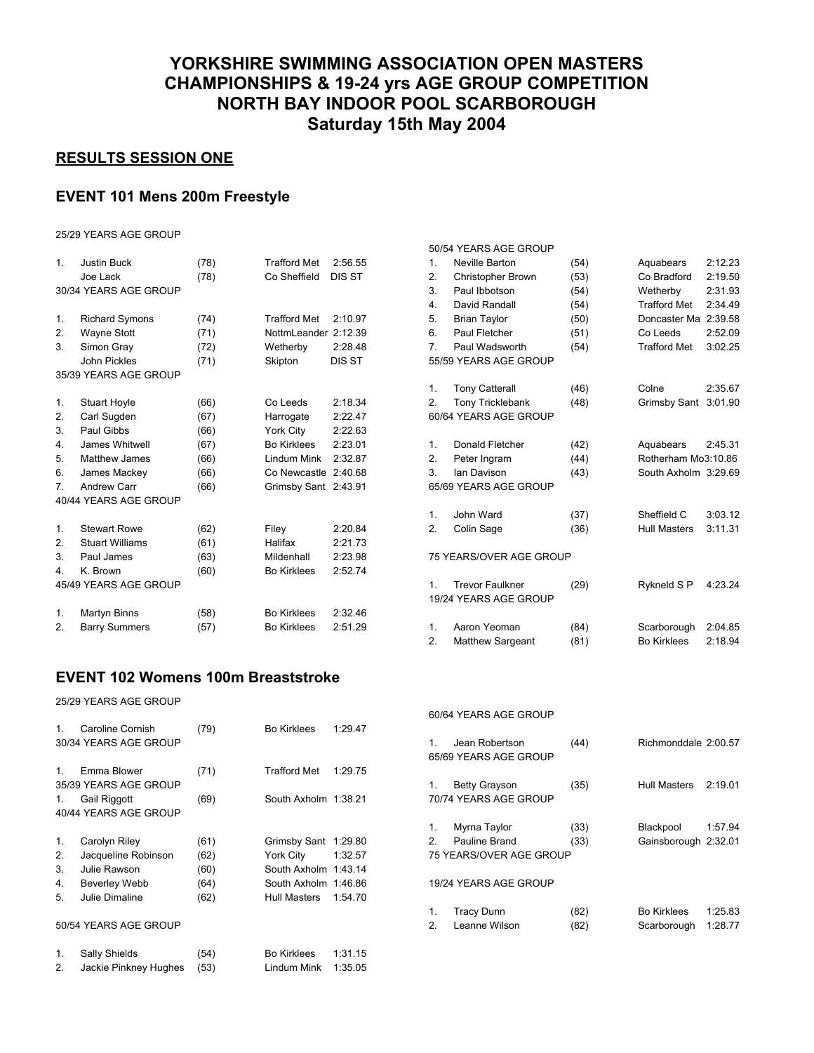# **YORKSHIRE SWIMMING ASSOCIATION OPEN MASTERS CHAMPIONSHIPS & 19-24 yrs AGE GROUP COMPETITION NORTH BAY INDOOR POOL SCARBOROUGH Saturday 15th May 2004**

### **RESULTS SESSION ONE**

#### **EVENT 101 Mens 200m Freestyle**

25/29 YEARS AGE GROUP

| 1.             | <b>Justin Buck</b><br>Joe Lack | (78)<br>(78) | <b>Trafford Met</b><br>Co Sheffield | 2:56.55<br>DIS ST |
|----------------|--------------------------------|--------------|-------------------------------------|-------------------|
|                | 30/34 YEARS AGE GROUP          |              |                                     |                   |
|                |                                |              |                                     |                   |
| 1.             | <b>Richard Symons</b>          | (74)         | <b>Trafford Met</b>                 | 2:10.97           |
| 2.             | <b>Wayne Stott</b>             | (71)         | NottmLeander 2:12.39                |                   |
| 3.             | Simon Gray                     | (72)         | Wetherby                            | 2:28.48           |
|                | John Pickles                   | (71)         | Skipton                             | DIS ST            |
|                | 35/39 YEARS AGE GROUP          |              |                                     |                   |
| 1.             | <b>Stuart Hoyle</b>            | (66)         | Co Leeds                            | 2:18.34           |
| 2.             | Carl Sugden                    | (67)         | Harrogate                           | 2:22.47           |
| 3.             | Paul Gibbs                     | (66)         | York City                           | 2:22.63           |
| 4.             | James Whitwell                 | (67)         | Bo Kirklees                         | 2:23.01           |
| 5.             | Matthew James                  | (66)         | Lindum Mink                         | 2:32.87           |
| 6.             | James Mackey                   | (66)         | Co Newcastle                        | 2:40.68           |
| $\overline{7}$ | <b>Andrew Carr</b>             | (66)         | <b>Grimsby Sant</b>                 | 2:43.91           |
|                | 40/44 YEARS AGE GROUP          |              |                                     |                   |
|                |                                |              |                                     |                   |
| 1.             | <b>Stewart Rowe</b>            | (62)         | Filey                               | 2:20.84           |
| 2.             | <b>Stuart Williams</b>         | (61)         | Halifax                             | 2:21.73           |
| 3.             | Paul James                     | (63)         | Mildenhall                          | 2:23.98           |
| 4.             | K. Brown                       | (60)         | <b>Bo Kirklees</b>                  | 2:52.74           |
|                | 45/49 YEARS AGE GROUP          |              |                                     |                   |
| 1.             | Martyn Binns                   | (58)         | <b>Bo Kirklees</b>                  | 2:32.46           |
| 2.             | <b>Barry Summers</b>           | (57)         | <b>Bo Kirklees</b>                  | 2:51.29           |
|                |                                |              |                                     |                   |

|    | 50/54 YEARS AGE GROUP                           |      |                      |         |  |  |
|----|-------------------------------------------------|------|----------------------|---------|--|--|
| 1. | Neville Barton                                  | (54) | Aquabears            | 2:12.23 |  |  |
| 2. | <b>Christopher Brown</b>                        | (53) | Co Bradford          | 2:19.50 |  |  |
| 3. | Paul Ibbotson                                   | (54) | Wetherby             | 2:31.93 |  |  |
| 4. | David Randall                                   | (54) | <b>Trafford Met</b>  | 2:34.49 |  |  |
| 5. | <b>Brian Taylor</b>                             | (50) | Doncaster Ma         | 2:39.58 |  |  |
| 6. | Paul Fletcher                                   | (51) | Co Leeds             | 2:52.09 |  |  |
| 7. | Paul Wadsworth                                  | (54) | <b>Trafford Met</b>  | 3:02.25 |  |  |
|    | 55/59 YEARS AGE GROUP                           |      |                      |         |  |  |
| 1. | <b>Tony Catterall</b>                           | (46) | Colne                | 2:35.67 |  |  |
| 2. | Tony Tricklebank                                | (48) | Grimsby Sant         | 3:01.90 |  |  |
|    | 60/64 YEARS AGE GROUP                           |      |                      |         |  |  |
| 1. | Donald Fletcher                                 | (42) | Aquabears            | 2:45.31 |  |  |
| 2. | Peter Ingram                                    | (44) | Rotherham Mo3:10.86  |         |  |  |
| 3. | Ian Davison                                     | (43) | South Axholm 3:29.69 |         |  |  |
|    | 65/69 YEARS AGE GROUP                           |      |                      |         |  |  |
| 1. | John Ward                                       | (37) | Sheffield C          | 3:03.12 |  |  |
| 2. | Colin Sage                                      | (36) | <b>Hull Masters</b>  | 3:11.31 |  |  |
|    | 75 YEARS/OVER AGE GROUP                         |      |                      |         |  |  |
| 1. | <b>Trevor Faulkner</b><br>19/24 YEARS AGE GROUP | (29) | Rykneld S P          | 4:23.24 |  |  |
| 1. | Aaron Yeoman                                    | (84) | Scarborough          | 2:04.85 |  |  |
| 2. | <b>Matthew Sargeant</b>                         | (81) | <b>Bo Kirklees</b>   | 2:18.94 |  |  |

#### **EVENT 102 Womens 100m Breaststroke**

25/29 YEARS AGE GROUP

|         |                       |      |                      |         |                | 60/64 YEARS AGE GROUP   |      |                      |         |
|---------|-----------------------|------|----------------------|---------|----------------|-------------------------|------|----------------------|---------|
| $1_{-}$ | Caroline Cornish      | (79) | <b>Bo Kirklees</b>   | 1:29.47 |                |                         |      |                      |         |
|         | 30/34 YEARS AGE GROUP |      |                      |         | $1_{-}$        | Jean Robertson          | (44) | Richmonddale 2:00.57 |         |
|         |                       |      |                      |         |                | 65/69 YEARS AGE GROUP   |      |                      |         |
| $1_{-}$ | Emma Blower           | (71) | <b>Trafford Met</b>  | 1:29.75 |                |                         |      |                      |         |
|         | 35/39 YEARS AGE GROUP |      |                      |         |                | <b>Betty Grayson</b>    | (35) | <b>Hull Masters</b>  | 2:19.01 |
| 1.      | Gail Riggott          | (69) | South Axholm 1:38.21 |         |                | 70/74 YEARS AGE GROUP   |      |                      |         |
|         | 40/44 YEARS AGE GROUP |      |                      |         |                |                         |      |                      |         |
|         |                       |      |                      |         |                | Myrna Taylor            | (33) | Blackpool            | 1:57.94 |
| 1.      | Carolyn Riley         | (61) | Grimsby Sant 1:29.80 |         | 2 <sub>1</sub> | Pauline Brand           | (33) | Gainsborough 2:32.01 |         |
| 2.      | Jacqueline Robinson   | (62) | York City            | 1:32.57 |                | 75 YEARS/OVER AGE GROUP |      |                      |         |
| 3.      | Julie Rawson          | (60) | South Axholm 1:43.14 |         |                |                         |      |                      |         |
| 4.      | <b>Beverley Webb</b>  | (64) | South Axholm 1:46.86 |         |                | 19/24 YEARS AGE GROUP   |      |                      |         |
| 5.      | Julie Dimaline        | (62) | <b>Hull Masters</b>  | 1:54.70 |                |                         |      |                      |         |
|         |                       |      |                      |         |                | <b>Tracy Dunn</b>       | (82) | <b>Bo Kirklees</b>   | 1:25.83 |
|         | 50/54 YEARS AGE GROUP |      |                      |         | $\mathcal{P}$  | Leanne Wilson           | (82) | Scarborough          | 1:28.77 |
| 1.      | Sally Shields         | (54) | <b>Bo Kirklees</b>   | 1:31.15 |                |                         |      |                      |         |
| 2.      | Jackie Pinkney Hughes | (53) | Lindum Mink          | 1:35.05 |                |                         |      |                      |         |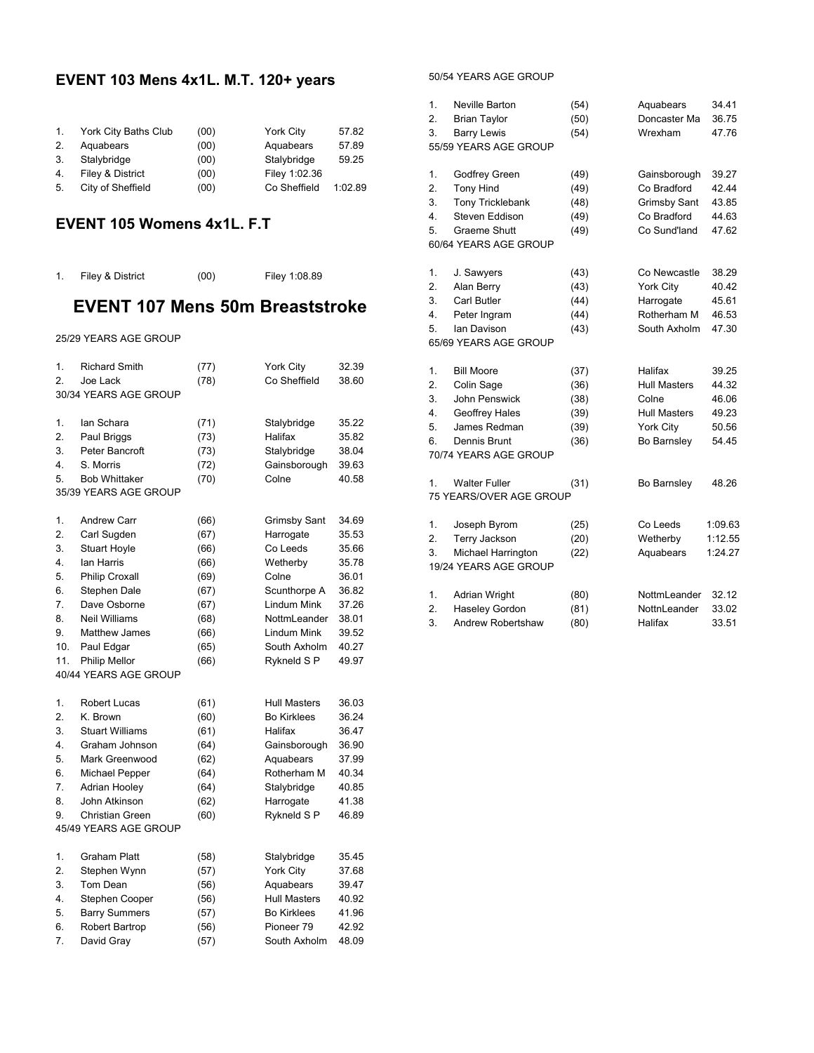#### **EVENT 103 Mens 4x1L. M.T. 120+ years**

| $1_{-}$ | York City Baths Club | (00) | York City     | 57.82   |
|---------|----------------------|------|---------------|---------|
| 2.      | Aquabears            | (00) | Aquabears     | 57.89   |
| 3.      | Stalybridge          | (00) | Stalybridge   | 59.25   |
| 4.      | Filey & District     | (00) | Filey 1:02.36 |         |
| 5.      | City of Sheffield    | (00) | Co Sheffield  | 1:02.89 |

#### **EVENT 105 Womens 4x1L. F.T**

1. Filey & District (00) Filey 1:08.89

# **EVENT 107 Mens 50m Breaststroke**

25/29 YEARS AGE GROUP

| 1.  | <b>Richard Smith</b>   | (77) | York City           | 32.39 |
|-----|------------------------|------|---------------------|-------|
| 2.  | Joe Lack               | (78) | Co Sheffield        | 38.60 |
|     | 30/34 YEARS AGE GROUP  |      |                     |       |
|     |                        |      |                     |       |
| 1.  | lan Schara             | (71) | Stalybridge         | 35.22 |
| 2.  | Paul Briggs            | (73) | Halifax             | 35.82 |
| 3.  | Peter Bancroft         | (73) | Stalybridge         | 38.04 |
| 4.  | S. Morris              | (72) | Gainsborough        | 39.63 |
| 5.  | <b>Bob Whittaker</b>   | (70) | Colne               | 40.58 |
|     | 35/39 YEARS AGE GROUP  |      |                     |       |
|     |                        |      |                     |       |
| 1.  | <b>Andrew Carr</b>     | (66) | <b>Grimsby Sant</b> | 34.69 |
| 2.  | Carl Sugden            | (67) | Harrogate           | 35.53 |
| 3.  | <b>Stuart Hoyle</b>    | (66) | Co Leeds            | 35.66 |
| 4.  | lan Harris             | (66) | Wetherby            | 35.78 |
| 5.  | <b>Philip Croxall</b>  | (69) | Colne               | 36.01 |
| 6.  | Stephen Dale           | (67) | Scunthorpe A        | 36.82 |
| 7.  | Dave Osborne           | (67) | Lindum Mink         | 37.26 |
| 8.  | Neil Williams          | (68) | NottmLeander        | 38.01 |
| 9.  | Matthew James          | (66) | Lindum Mink         | 39.52 |
| 10. | Paul Edgar             | (65) | South Axholm        | 40.27 |
| 11. | Philip Mellor          | (66) | Rykneld S P         | 49.97 |
|     | 40/44 YEARS AGE GROUP  |      |                     |       |
|     |                        |      |                     |       |
| 1.  | <b>Robert Lucas</b>    | (61) | Hull Masters        | 36.03 |
| 2.  | K. Brown               | (60) | <b>Bo Kirklees</b>  | 36.24 |
| 3.  | <b>Stuart Williams</b> | (61) | Halifax             | 36.47 |
| 4.  | Graham Johnson         | (64) | Gainsborough        | 36.90 |
| 5.  | Mark Greenwood         | (62) | Aquabears           | 37.99 |
| 6.  | Michael Pepper         | (64) | Rotherham M         | 40.34 |
| 7.  | <b>Adrian Hooley</b>   | (64) | Stalybridge         | 40.85 |
| 8.  | John Atkinson          | (62) | Harrogate           | 41.38 |
| 9.  | Christian Green        | (60) | Rykneld S P         | 46.89 |
|     | 45/49 YEARS AGE GROUP  |      |                     |       |
|     |                        |      |                     |       |
| 1.  | Graham Platt           | (58) | Stalybridge         | 35.45 |
| 2.  | Stephen Wynn           | (57) | York City           | 37.68 |
| 3.  | Tom Dean               | (56) | Aquabears           | 39.47 |
| 4.  | Stephen Cooper         | (56) | <b>Hull Masters</b> | 40.92 |
| 5.  | <b>Barry Summers</b>   | (57) | <b>Bo Kirklees</b>  | 41.96 |
| 6.  | Robert Bartrop         | (56) | Pioneer 79          | 42.92 |
| 7.  | David Gray             | (57) | South Axholm        | 48.09 |

50/54 YEARS AGE GROUP

| 1. | <b>Neville Barton</b>   | (54) | Aquabears           | 34.41   |
|----|-------------------------|------|---------------------|---------|
| 2. | <b>Brian Taylor</b>     | (50) | Doncaster Ma        | 36.75   |
| 3. | <b>Barry Lewis</b>      | (54) | Wrexham             | 47.76   |
|    | 55/59 YEARS AGE GROUP   |      |                     |         |
|    |                         |      |                     |         |
| 1. | Godfrey Green           | (49) | Gainsborough        | 39.27   |
| 2. | <b>Tony Hind</b>        | (49) | Co Bradford         | 42.44   |
| 3. | <b>Tony Tricklebank</b> | (48) | Grimsby Sant        | 43.85   |
| 4. | Steven Eddison          | (49) | Co Bradford         | 44.63   |
| 5. | Graeme Shutt            | (49) | Co Sund'land        | 47.62   |
|    | 60/64 YEARS AGE GROUP   |      |                     |         |
| 1. | J. Sawyers              | (43) | Co Newcastle        | 38.29   |
| 2. | Alan Berry              | (43) | York City           | 40.42   |
| 3. | Carl Butler             | (44) | Harrogate           | 45.61   |
| 4. | Peter Ingram            | (44) | Rotherham M         | 46.53   |
| 5. | lan Davison             | (43) | South Axholm        | 47.30   |
|    | 65/69 YEARS AGE GROUP   |      |                     |         |
|    |                         |      |                     |         |
| 1. | <b>Bill Moore</b>       | (37) | Halifax             | 39.25   |
| 2. | Colin Sage              | (36) | <b>Hull Masters</b> | 44.32   |
| 3. | John Penswick           | (38) | Colne               | 46.06   |
| 4. | Geoffrey Hales          | (39) | <b>Hull Masters</b> | 49.23   |
| 5. | James Redman            | (39) | York City           | 50.56   |
| 6. | Dennis Brunt            | (36) | Bo Barnsley         | 54.45   |
|    | 70/74 YEARS AGE GROUP   |      |                     |         |
| 1. | <b>Walter Fuller</b>    | (31) | Bo Barnsley         | 48.26   |
|    | 75 YEARS/OVER AGE GROUP |      |                     |         |
|    |                         |      |                     |         |
| 1. | Joseph Byrom            | (25) | Co Leeds            | 1:09.63 |
| 2. | Terry Jackson           | (20) | Wetherby            | 1:12.55 |
| 3. | Michael Harrington      | (22) | Aquabears           | 1:24.27 |
|    | 19/24 YEARS AGE GROUP   |      |                     |         |
| 1. | <b>Adrian Wright</b>    | (80) | NottmLeander        | 32.12   |
| 2. | Haseley Gordon          | (81) | NottnLeander        | 33.02   |
| 3. | Andrew Robertshaw       | (80) | Halifax             | 33.51   |
|    |                         |      |                     |         |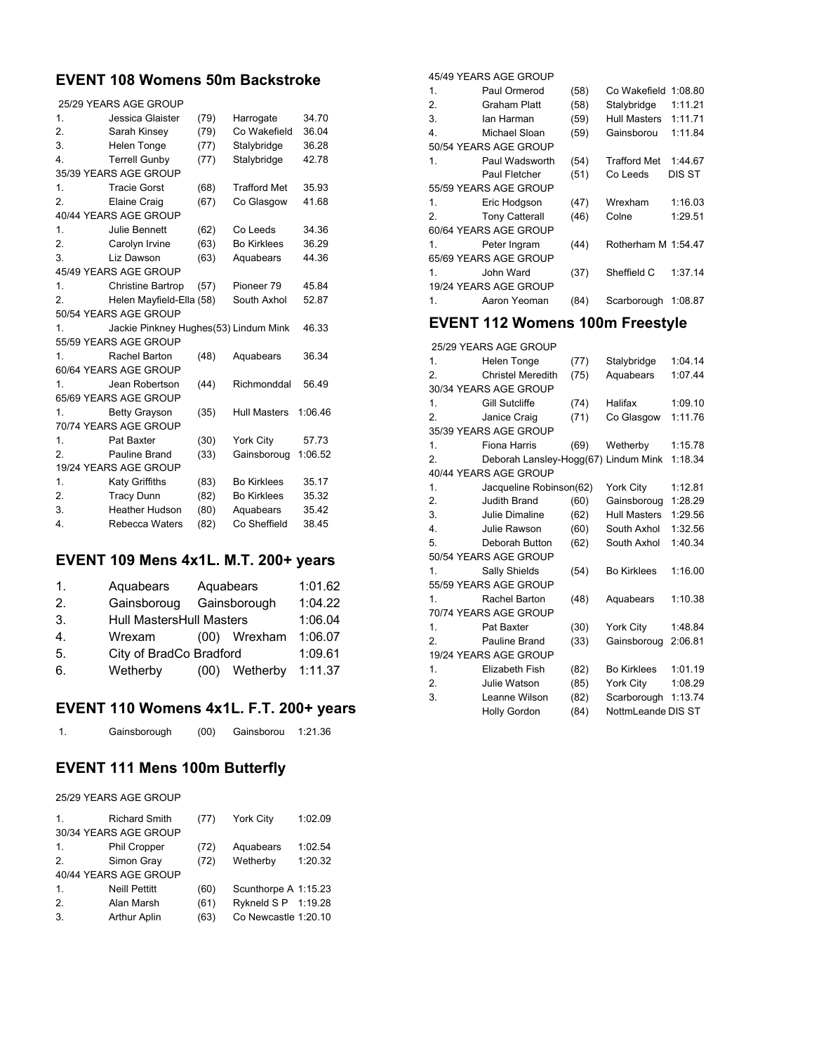#### **EVENT 108 Womens 50m Backstroke**

|                  | 25/29 YEARS AGE GROUP                 |      |                     |         |
|------------------|---------------------------------------|------|---------------------|---------|
| 1.               | Jessica Glaister                      | (79) | Harrogate           | 34.70   |
| 2.               | Sarah Kinsey                          | (79) | Co Wakefield        | 36.04   |
| 3.               | Helen Tonge                           | (77) | Stalybridge         | 36.28   |
| $\overline{4}$ . | <b>Terrell Gunby</b>                  | (77) | Stalybridge         | 42.78   |
|                  | 35/39 YEARS AGE GROUP                 |      |                     |         |
| 1.               | <b>Tracie Gorst</b>                   | (68) | <b>Trafford Met</b> | 35.93   |
| 2.               | Elaine Craig                          | (67) | Co Glasgow          | 41.68   |
|                  | 40/44 YEARS AGE GROUP                 |      |                     |         |
| 1.               | Julie Bennett                         | (62) | Co Leeds            | 34.36   |
| 2.               | Carolyn Irvine                        | (63) | <b>Bo Kirklees</b>  | 36.29   |
| 3.               | Liz Dawson                            | (63) | Aquabears           | 44.36   |
|                  | 45/49 YEARS AGE GROUP                 |      |                     |         |
| 1.               | <b>Christine Bartrop</b>              | (57) | Pioneer 79          | 45.84   |
| 2.               | Helen Mayfield-Ella (58)              |      | South Axhol         | 52.87   |
|                  | 50/54 YEARS AGE GROUP                 |      |                     |         |
| 1.               | Jackie Pinkney Hughes(53) Lindum Mink |      |                     | 46.33   |
|                  | 55/59 YEARS AGE GROUP                 |      |                     |         |
| 1.               | Rachel Barton                         | (48) | Aquabears           | 36.34   |
|                  | 60/64 YEARS AGE GROUP                 |      |                     |         |
| 1.               | Jean Robertson                        | (44) | Richmonddal         | 56.49   |
|                  | 65/69 YEARS AGE GROUP                 |      |                     |         |
| 1.               | <b>Betty Grayson</b>                  | (35) | <b>Hull Masters</b> | 1:06.46 |
|                  | 70/74 YEARS AGE GROUP                 |      |                     |         |
| 1.               | Pat Baxter                            | (30) | York City           | 57.73   |
| $\overline{2}$ . | Pauline Brand                         | (33) | Gainsboroug         | 1:06.52 |
|                  | 19/24 YEARS AGE GROUP                 |      |                     |         |
| 1.               | <b>Katy Griffiths</b>                 | (83) | <b>Bo Kirklees</b>  | 35.17   |
| 2.               | <b>Tracy Dunn</b>                     | (82) | <b>Bo Kirklees</b>  | 35.32   |
| 3.               | Heather Hudson                        | (80) | Aquabears           | 35.42   |
| $\overline{4}$ . | Rebecca Waters                        | (82) | Co Sheffield        | 38.45   |
|                  |                                       |      |                     |         |

#### **EVENT 109 Mens 4x1L. M.T. 200+ years**

| 1. | Aquabears   |                                 | Aquabears    |         |  |  |
|----|-------------|---------------------------------|--------------|---------|--|--|
| 2. | Gainsboroug |                                 | Gainsborough |         |  |  |
| 3. |             | <b>Hull MastersHull Masters</b> |              |         |  |  |
| 4. | Wrexam      | (00)                            | Wrexham      | 1:06.07 |  |  |
| 5. |             | City of BradCo Bradford         |              |         |  |  |
| 6. | Wetherby    | (00)                            | Wetherby     | 1:11.37 |  |  |

#### **EVENT 110 Womens 4x1L. F.T. 200+ years**

| Gainsborough | (00) | Gainsborou | 1:21.36 |
|--------------|------|------------|---------|
|--------------|------|------------|---------|

#### **EVENT 111 Mens 100m Butterfly**

25/29 YEARS AGE GROUP

| 1.               | <b>Richard Smith</b>  | (77) | York City            | 1:02.09 |
|------------------|-----------------------|------|----------------------|---------|
|                  | 30/34 YEARS AGE GROUP |      |                      |         |
| 1.               | Phil Cropper          | (72) | Aquabears            | 1:02.54 |
| 2.               | Simon Gray            | (72) | Wetherby             | 1:20.32 |
|                  | 40/44 YEARS AGE GROUP |      |                      |         |
| 1.               | <b>Neill Pettitt</b>  | (60) | Scunthorpe A 1:15.23 |         |
| $\overline{2}$ . | Alan Marsh            | (61) | Rykneld S P 1:19.28  |         |
| 3.               | <b>Arthur Aplin</b>   | (63) | Co Newcastle 1:20.10 |         |

45/49 YEARS AGE GROUP

| 1. | Paul Ormerod          | (58) | Co Wakefield        | 1:08.80 |
|----|-----------------------|------|---------------------|---------|
| 2. | Graham Platt          | (58) | Stalybridge         | 1:11.21 |
| 3. | lan Harman            | (59) | <b>Hull Masters</b> | 1:11.71 |
| 4. | Michael Sloan         | (59) | Gainsborou          | 1:11.84 |
|    | 50/54 YEARS AGE GROUP |      |                     |         |
| 1. | Paul Wadsworth        | (54) | <b>Trafford Met</b> | 1:44.67 |
|    | Paul Fletcher         | (51) | Co Leeds            | DIS ST  |
|    | 55/59 YEARS AGE GROUP |      |                     |         |
| 1. | Eric Hodgson          | (47) | Wrexham             | 1:16.03 |
| 2. | <b>Tony Catterall</b> | (46) | Colne               | 1:29.51 |
|    | 60/64 YEARS AGE GROUP |      |                     |         |
| 1. | Peter Ingram          | (44) | Rotherham M 1:54.47 |         |
|    | 65/69 YEARS AGE GROUP |      |                     |         |
| 1. | John Ward             | (37) | Sheffield C         | 1:37.14 |
|    | 19/24 YEARS AGE GROUP |      |                     |         |
| 1. | Aaron Yeoman          | (84) | Scarborough         | 1:08.87 |
|    |                       |      |                     |         |

# **EVENT 112 Womens 100m Freestyle**

25/29 YEARS AGE GROUP

| 1.               | Helen Tonge                          | (77) | Stalybridge         | 1:04.14 |
|------------------|--------------------------------------|------|---------------------|---------|
| $\overline{2}$ . | <b>Christel Meredith</b>             | (75) | Aquabears           | 1:07.44 |
|                  | 30/34 YEARS AGE GROUP                |      |                     |         |
| 1.               | <b>Gill Sutcliffe</b>                | (74) | Halifax             | 1:09.10 |
| 2.               | Janice Craig                         | (71) | Co Glasgow          | 1:11.76 |
|                  | 35/39 YEARS AGE GROUP                |      |                     |         |
| 1.               | Fiona Harris                         | (69) | Wetherby            | 1:15.78 |
| 2.               | Deborah Lansley-Hogg(67) Lindum Mink |      |                     | 1:18.34 |
|                  | 40/44 YEARS AGE GROUP                |      |                     |         |
| 1.               | Jacqueline Robinson(62)              |      | York City           | 1:12.81 |
| 2.               | Judith Brand                         | (60) | Gainsboroug         | 1:28.29 |
| 3.               | Julie Dimaline                       | (62) | <b>Hull Masters</b> | 1:29.56 |
| $\overline{4}$ . | Julie Rawson                         | (60) | South Axhol         | 1:32.56 |
| 5.               | Deborah Button                       | (62) | South Axhol         | 1:40.34 |
|                  | 50/54 YEARS AGE GROUP                |      |                     |         |
| $\mathbf{1}$ .   | Sally Shields                        | (54) | <b>Bo Kirklees</b>  | 1:16.00 |
|                  | 55/59 YEARS AGE GROUP                |      |                     |         |
| 1.               | <b>Rachel Barton</b>                 | (48) | Aquabears           | 1:10.38 |
|                  | 70/74 YEARS AGE GROUP                |      |                     |         |
| 1.               | Pat Baxter                           | (30) | York City           | 1:48.84 |
| 2.               | Pauline Brand                        | (33) | Gainsboroug         | 2:06.81 |
|                  | 19/24 YEARS AGE GROUP                |      |                     |         |
| 1.               | Elizabeth Fish                       | (82) | <b>Bo Kirklees</b>  | 1:01.19 |
| 2.               | Julie Watson                         | (85) | York City           | 1:08.29 |
| 3.               | Leanne Wilson                        | (82) | Scarborough         | 1:13.74 |
|                  | Holly Gordon                         | (84) | NottmLeande DIS ST  |         |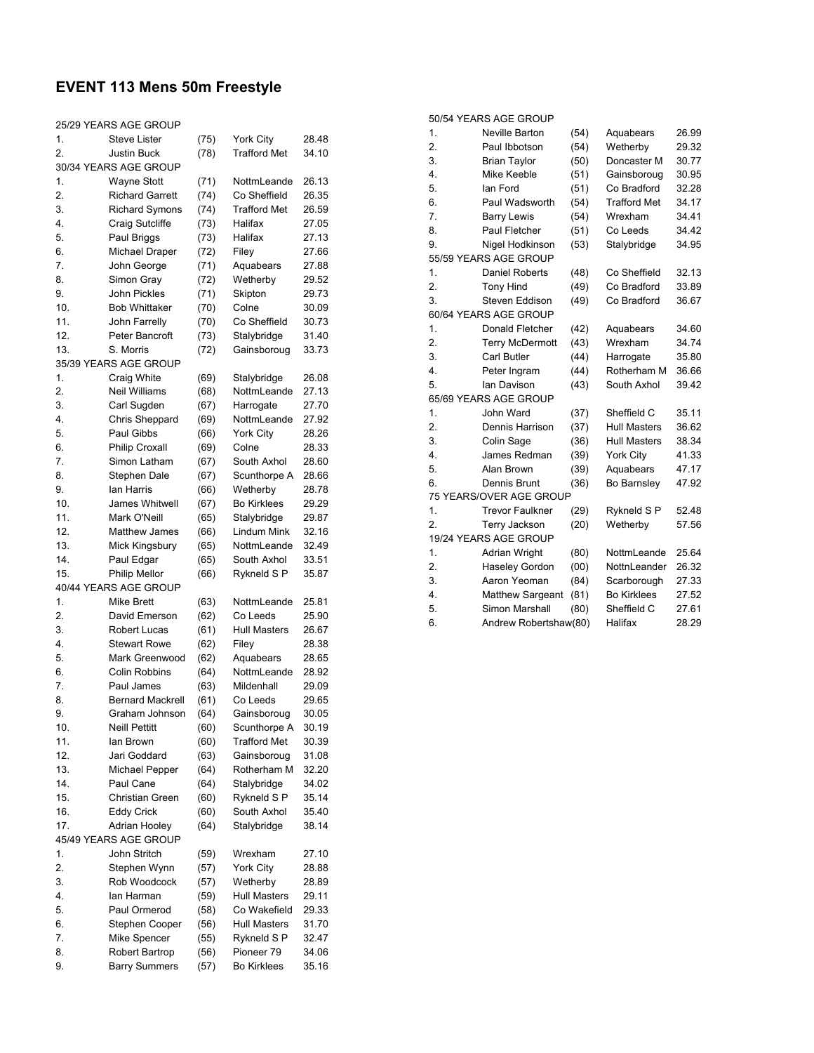# **EVENT 113 Mens 50m Freestyle**

| 25/29 YEARS AGE GROUP |                         |      |                     |       |  |  |
|-----------------------|-------------------------|------|---------------------|-------|--|--|
| 1.                    | <b>Steve Lister</b>     | (75) | York City           | 28.48 |  |  |
| 2.                    | <b>Justin Buck</b>      | (78) | <b>Trafford Met</b> | 34.10 |  |  |
|                       | 30/34 YEARS AGE GROUP   |      |                     |       |  |  |
| 1.                    | <b>Wayne Stott</b>      | (71) | NottmLeande         | 26.13 |  |  |
| 2.                    | <b>Richard Garrett</b>  | (74) | Co Sheffield        | 26.35 |  |  |
| 3.                    | <b>Richard Symons</b>   | (74) | <b>Trafford Met</b> | 26.59 |  |  |
| 4.                    | Craig Sutcliffe         | (73) | Halifax             | 27.05 |  |  |
| 5.                    | Paul Briggs             | (73) | Halifax             | 27.13 |  |  |
| 6.                    | Michael Draper          | (72) | Filey               | 27.66 |  |  |
| 7.                    | John George             | (71) | Aquabears           | 27.88 |  |  |
| 8.                    | Simon Gray              | (72) | Wetherby            | 29.52 |  |  |
| 9.                    | John Pickles            | (71) | Skipton             | 29.73 |  |  |
| 10.                   | <b>Bob Whittaker</b>    | (70) | Colne               | 30.09 |  |  |
| 11.                   | John Farrelly           | (70) | Co Sheffield        | 30.73 |  |  |
| 12.                   | Peter Bancroft          | (73) | Stalybridge         | 31.40 |  |  |
| 13.                   | S. Morris               | (72) | Gainsboroug         | 33.73 |  |  |
|                       | 35/39 YEARS AGE GROUP   |      |                     |       |  |  |
| 1.                    | Craig White             | (69) | Stalybridge         | 26.08 |  |  |
| 2.                    | Neil Williams           | (68) | NottmLeande         | 27.13 |  |  |
| 3.                    | Carl Sugden             | (67) | Harrogate           | 27.70 |  |  |
| 4.                    | Chris Sheppard          | (69) | NottmLeande         | 27.92 |  |  |
| 5.                    | Paul Gibbs              | (66) | York City           | 28.26 |  |  |
| 6.                    | <b>Philip Croxall</b>   | (69) | Colne               | 28.33 |  |  |
| 7.                    | Simon Latham            | (67) | South Axhol         | 28.60 |  |  |
| 8.                    | Stephen Dale            | (67) | Scunthorpe A        | 28.66 |  |  |
| 9.                    | lan Harris              | (66) | Wetherby            | 28.78 |  |  |
| 10.                   | James Whitwell          | (67) | <b>Bo Kirklees</b>  | 29.29 |  |  |
| 11.                   | Mark O'Neill            | (65) | Stalybridge         | 29.87 |  |  |
| 12.                   | <b>Matthew James</b>    | (66) | Lindum Mink         | 32.16 |  |  |
| 13.                   | Mick Kingsbury          | (65) | NottmLeande         | 32.49 |  |  |
| 14.                   | Paul Edgar              | (65) | South Axhol         | 33.51 |  |  |
| 15.                   | <b>Philip Mellor</b>    | (66) | Rykneld S P         | 35.87 |  |  |
|                       | 40/44 YEARS AGE GROUP   |      |                     |       |  |  |
| 1.                    | Mike Brett              | (63) | NottmLeande         | 25.81 |  |  |
| 2.                    | David Emerson           | (62) | Co Leeds            | 25.90 |  |  |
| 3.                    | Robert Lucas            | (61) | Hull Masters        | 26.67 |  |  |
| 4.                    | <b>Stewart Rowe</b>     | (62) | Filey               | 28.38 |  |  |
| 5.                    | Mark Greenwood          | (62) | Aquabears           | 28.65 |  |  |
| 6.                    | Colin Robbins           |      | NottmLeande         | 28.92 |  |  |
| 7.                    | Paul James              | (64) | Mildenhall          | 29.09 |  |  |
| 8.                    | <b>Bernard Mackrell</b> | (63) | Co Leeds            | 29.65 |  |  |
|                       |                         | (61) |                     |       |  |  |
| 9.                    | Graham Johnson          | (64) | Gainsboroug         | 30.05 |  |  |
| 10.                   | <b>Neill Pettitt</b>    | (60) | Scunthorpe A        | 30.19 |  |  |
| 11.                   | lan Brown               | (60) | Trafford Met        | 30.39 |  |  |
| 12.                   | Jari Goddard            | (63) | Gainsboroug         | 31.08 |  |  |
| 13.                   | Michael Pepper          | (64) | Rotherham M         | 32.20 |  |  |
| 14.                   | Paul Cane               | (64) | Stalybridge         | 34.02 |  |  |
| 15.                   | Christian Green         | (60) | Rykneld S P         | 35.14 |  |  |
| 16.                   | <b>Eddy Crick</b>       | (60) | South Axhol         | 35.40 |  |  |
| 17.                   | Adrian Hooley           | (64) | Stalybridge         | 38.14 |  |  |
|                       | 45/49 YEARS AGE GROUP   |      |                     |       |  |  |
| 1.                    | John Stritch            | (59) | Wrexham             | 27.10 |  |  |
| 2.                    | Stephen Wynn            | (57) | York City           | 28.88 |  |  |
| 3.                    | Rob Woodcock            | (57) | Wetherby            | 28.89 |  |  |
| 4.                    | lan Harman              | (59) | Hull Masters        | 29.11 |  |  |
| 5.                    | Paul Ormerod            | (58) | Co Wakefield        | 29.33 |  |  |
| 6.                    | Stephen Cooper          | (56) | Hull Masters        | 31.70 |  |  |
| 7.                    | Mike Spencer            | (55) | Rykneld S P         | 32.47 |  |  |
| 8.                    | Robert Bartrop          | (56) | Pioneer 79          | 34.06 |  |  |
| 9.                    | <b>Barry Summers</b>    | (57) | <b>Bo Kirklees</b>  | 35.16 |  |  |

|                  | 50/54 YEARS AGE GROUP   |      |                     |       |
|------------------|-------------------------|------|---------------------|-------|
| 1.               | Neville Barton          | (54) | Aquabears           | 26.99 |
| 2.               | Paul Ibbotson           | (54) | Wetherby            | 29.32 |
| 3.               | <b>Brian Taylor</b>     | (50) | Doncaster M         | 30.77 |
| 4.               | Mike Keeble             | (51) | Gainsboroug         | 30.95 |
| 5.               | lan Ford                | (51) | Co Bradford         | 32.28 |
| 6.               | Paul Wadsworth          | (54) | <b>Trafford Met</b> | 34.17 |
| 7.               | <b>Barry Lewis</b>      | (54) | Wrexham             | 34.41 |
| 8.               | Paul Fletcher           | (51) | Co Leeds            | 34.42 |
| 9.               | Nigel Hodkinson         | (53) | Stalybridge         | 34.95 |
|                  | 55/59 YEARS AGE GROUP   |      |                     |       |
| 1.               | <b>Daniel Roberts</b>   | (48) | Co Sheffield        | 32.13 |
| $\overline{2}$ . | <b>Tony Hind</b>        | (49) | Co Bradford         | 33.89 |
| 3.               | Steven Eddison          | (49) | Co Bradford         | 36.67 |
|                  | 60/64 YEARS AGE GROUP   |      |                     |       |
| $\overline{1}$ . | Donald Fletcher         | (42) | Aquabears           | 34.60 |
| 2.               | <b>Terry McDermott</b>  | (43) | Wrexham             | 34.74 |
| 3.               | Carl Butler             | (44) | Harrogate           | 35.80 |
| 4.               | Peter Ingram            | (44) | Rotherham M         | 36.66 |
| 5.               | lan Davison             | (43) | South Axhol         | 39.42 |
|                  | 65/69 YEARS AGE GROUP   |      |                     |       |
| 1.               | John Ward               | (37) | Sheffield C         | 35.11 |
| 2.               | Dennis Harrison         | (37) | <b>Hull Masters</b> | 36.62 |
| 3.               | Colin Sage              | (36) | <b>Hull Masters</b> | 38.34 |
| 4.               | James Redman            | (39) | York City           | 41.33 |
| 5.               | Alan Brown              | (39) | Aquabears           | 47.17 |
| 6.               | Dennis Brunt            | (36) | Bo Barnsley         | 47.92 |
|                  | 75 YEARS/OVER AGE GROUP |      |                     |       |
| 1.               | <b>Trevor Faulkner</b>  | (29) | Rykneld S P         | 52.48 |
| 2.               | Terry Jackson           | (20) | Wetherby            | 57.56 |
|                  | 19/24 YEARS AGE GROUP   |      |                     |       |
| 1.               | Adrian Wright           | (80) | NottmLeande         | 25.64 |
| 2.               | Haseley Gordon          | (00) | NottnLeander        | 26.32 |
| 3.               | Aaron Yeoman            | (84) | Scarborough         | 27.33 |
| 4.               | Matthew Sargeant        | (81) | <b>Bo Kirklees</b>  | 27.52 |
| 5.               | Simon Marshall          | (80) | Sheffield C         | 27.61 |
| 6.               | Andrew Robertshaw(80)   |      | Halifax             | 28.29 |
|                  |                         |      |                     |       |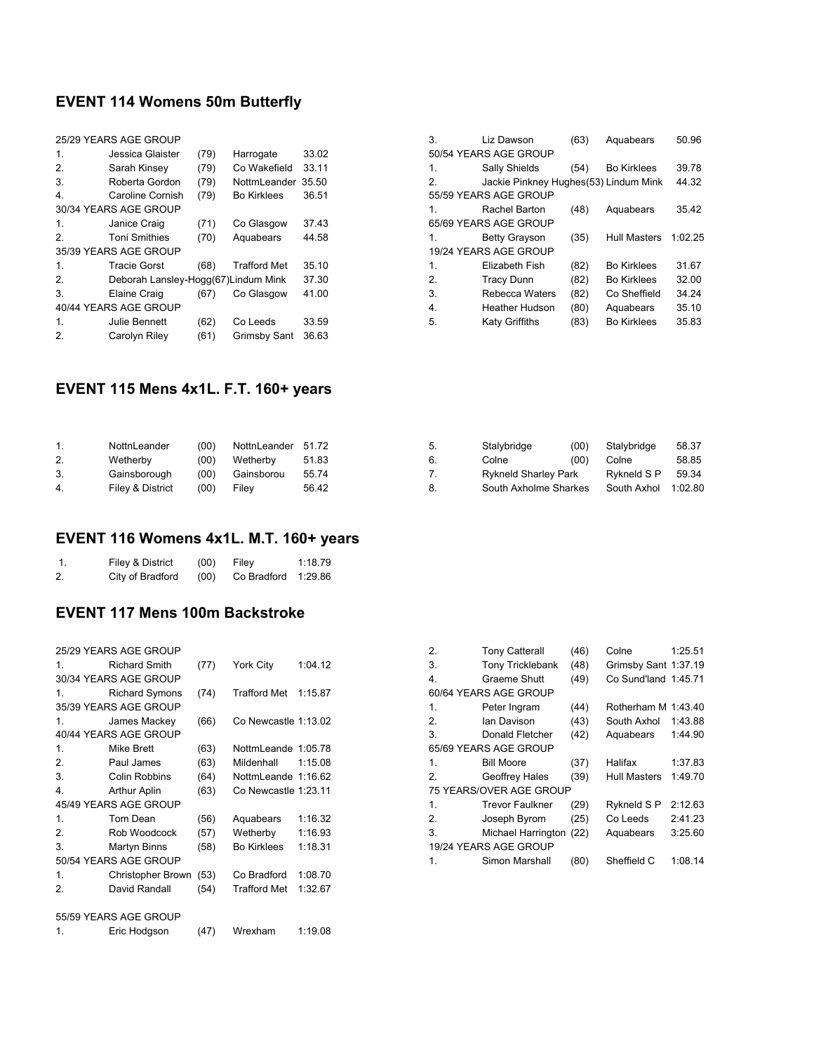## **EVENT 114 Womens 50m Butterfly**

| 25/29 YEARS AGE GROUP |                                     |      |                     |       |  |  |
|-----------------------|-------------------------------------|------|---------------------|-------|--|--|
| 1.                    | Jessica Glaister                    | (79) | Harrogate           | 33.02 |  |  |
| 2.                    | Sarah Kinsey                        | (79) | Co Wakefield        | 33.11 |  |  |
| 3.                    | Roberta Gordon                      | (79) | NottmLeander        | 35.50 |  |  |
| 4.                    | Caroline Cornish                    | (79) | <b>Bo Kirklees</b>  | 36.51 |  |  |
|                       | 30/34 YEARS AGE GROUP               |      |                     |       |  |  |
| 1.                    | Janice Craig                        | (71) | Co Glasgow          | 37.43 |  |  |
| 2.                    | <b>Toni Smithies</b>                | (70) | Aquabears           | 44.58 |  |  |
| 35/39 YEARS AGE GROUP |                                     |      |                     |       |  |  |
| 1.                    | <b>Tracie Gorst</b>                 | (68) | <b>Trafford Met</b> | 35.10 |  |  |
| 2.                    | Deborah Lansley-Hogg(67)Lindum Mink |      |                     | 37.30 |  |  |
| 3.                    | Elaine Craig                        | (67) | Co Glasgow          | 41.00 |  |  |
| 40/44 YEARS AGE GROUP |                                     |      |                     |       |  |  |
| 1.                    | Julie Bennett                       | (62) | Co Leeds            | 33.59 |  |  |
| 2.                    | Carolyn Rilev                       | (61) | <b>Grimsby Sant</b> | 36.63 |  |  |

| 3.                    | Liz Dawson                            | (63) | Aquabears           | 50.96   |  |
|-----------------------|---------------------------------------|------|---------------------|---------|--|
|                       | 50/54 YEARS AGE GROUP                 |      |                     |         |  |
| 1.                    | Sally Shields                         | (54) | <b>Bo Kirklees</b>  | 39.78   |  |
| 2.                    | Jackie Pinkney Hughes(53) Lindum Mink |      |                     | 44.32   |  |
|                       | 55/59 YEARS AGE GROUP                 |      |                     |         |  |
| 1.                    | <b>Rachel Barton</b>                  | (48) | Aquabears           | 35.42   |  |
|                       | 65/69 YEARS AGE GROUP                 |      |                     |         |  |
| 1.                    | <b>Betty Grayson</b>                  | (35) | <b>Hull Masters</b> | 1:02.25 |  |
| 19/24 YEARS AGE GROUP |                                       |      |                     |         |  |
| 1.                    | Elizabeth Fish                        | (82) | <b>Bo Kirklees</b>  | 31.67   |  |
| 2.                    | <b>Tracy Dunn</b>                     | (82) | <b>Bo Kirklees</b>  | 32.00   |  |
| 3.                    | Rebecca Waters                        | (82) | Co Sheffield        | 34.24   |  |
| 4.                    | <b>Heather Hudson</b>                 | (80) | Aquabears           | 35.10   |  |
| 5.                    | <b>Katy Griffiths</b>                 | (83) | <b>Bo Kirklees</b>  | 35.83   |  |

### **EVENT 115 Mens 4x1L. F.T. 160+ years**

| 1. | NottnLeander     | (00)             | NottnLeander 51.72 |       | 5. | Stalybridge                 | (00) | Stalybridge | 58.37   |
|----|------------------|------------------|--------------------|-------|----|-----------------------------|------|-------------|---------|
| 2. | Wetherby         | 00) <sup>.</sup> | Wetherby           | 51.83 |    | Colne                       | (00) | Colne       | 58.85   |
| 3. | Gainsborough     | (00)             | Gainsborou         | 55.74 |    | <b>Rykneld Sharley Park</b> |      | Rvkneld S P | 59.34   |
| 4. | Filey & District | (00)             | Filev              | 56.42 |    | South Axholme Sharkes       |      | South Axhol | 1:02.80 |

# **EVENT 116 Womens 4x1L. M.T. 160+ years**

|    | Filey & District | (00) | Filev               | 1:18.79 |
|----|------------------|------|---------------------|---------|
| 2. | City of Bradford | (00) | Co Bradford 1:29.86 |         |

#### **EVENT 117 Mens 100m Backstroke**

|    | 25/29 YEARS AGE GROUP |      |                      |         |  |  |
|----|-----------------------|------|----------------------|---------|--|--|
| 1. | <b>Richard Smith</b>  | (77) | York City            | 1:04.12 |  |  |
|    | 30/34 YEARS AGE GROUP |      |                      |         |  |  |
| 1. | <b>Richard Symons</b> | (74) | <b>Trafford Met</b>  | 1:15.87 |  |  |
|    | 35/39 YEARS AGE GROUP |      |                      |         |  |  |
| 1. | James Mackey          | (66) | Co Newcastle 1:13.02 |         |  |  |
|    | 40/44 YEARS AGE GROUP |      |                      |         |  |  |
| 1. | <b>Mike Brett</b>     | (63) | NottmLeande 1:05.78  |         |  |  |
| 2. | Paul James            | (63) | Mildenhall           | 1:15.08 |  |  |
| 3. | Colin Robbins         | (64) | NottmLeande 1:16.62  |         |  |  |
| 4. | <b>Arthur Aplin</b>   | (63) | Co Newcastle 1:23.11 |         |  |  |
|    | 45/49 YEARS AGE GROUP |      |                      |         |  |  |
| 1. | Tom Dean              | (56) | Aquabears            | 1:16.32 |  |  |
| 2. | Rob Woodcock          | (57) | Wetherby             | 1:16.93 |  |  |
| 3. | Martyn Binns          | (58) | <b>Bo Kirklees</b>   | 1:18.31 |  |  |
|    | 50/54 YEARS AGE GROUP |      |                      |         |  |  |
| 1. | Christopher Brown     | (53) | Co Bradford          | 1:08.70 |  |  |
| 2. | David Randall         | (54) | <b>Trafford Met</b>  | 1:32.67 |  |  |
|    |                       |      |                      |         |  |  |
|    | 55/59 YEARS AGE GROUP |      |                      |         |  |  |
| 1. | Eric Hodgson          | (47) | Wrexham              | 1:19.08 |  |  |
|    |                       |      |                      |         |  |  |

| 2. | <b>Tony Catterall</b>   | (46) | Colne                | 1:25.51 |
|----|-------------------------|------|----------------------|---------|
| 3. | <b>Tony Tricklebank</b> | (48) | Grimsby Sant 1:37.19 |         |
| 4. | Graeme Shutt            | (49) | Co Sund'land 1:45.71 |         |
|    | 60/64 YEARS AGE GROUP   |      |                      |         |
| 1. | Peter Ingram            | (44) | Rotherham M          | 1:43.40 |
| 2. | lan Davison             | (43) | South Axhol          | 1:43.88 |
| 3. | Donald Fletcher         | (42) | Aquabears            | 1:44.90 |
|    | 65/69 YEARS AGE GROUP   |      |                      |         |
| 1. | <b>Bill Moore</b>       | (37) | Halifax              | 1:37.83 |
| 2. | Geoffrey Hales          | (39) | <b>Hull Masters</b>  | 1:49.70 |
|    | 75 YEARS/OVER AGE GROUP |      |                      |         |
| 1. | <b>Trevor Faulkner</b>  | (29) | Rykneld S P          | 2:12.63 |
| 2. | Joseph Byrom            | (25) | Co Leeds             | 2:41.23 |
| 3. | Michael Harrington      | (22) | Aquabears            | 3:25.60 |
|    | 19/24 YEARS AGE GROUP   |      |                      |         |
| 1. | Simon Marshall          | (80) | Sheffield C          | 1:08.14 |